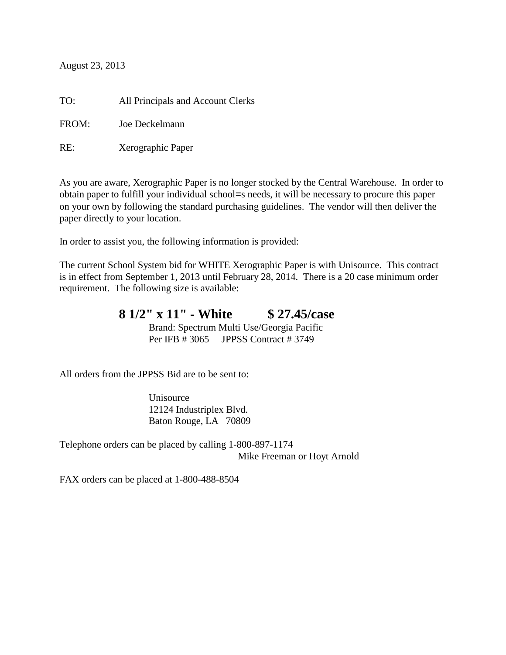August 23, 2013

TO: All Principals and Account Clerks FROM: Joe Deckelmann RE: Xerographic Paper

As you are aware, Xerographic Paper is no longer stocked by the Central Warehouse. In order to obtain paper to fulfill your individual school=s needs, it will be necessary to procure this paper on your own by following the standard purchasing guidelines. The vendor will then deliver the paper directly to your location.

In order to assist you, the following information is provided:

The current School System bid for WHITE Xerographic Paper is with Unisource. This contract is in effect from September 1, 2013 until February 28, 2014. There is a 20 case minimum order requirement. The following size is available:

> **8 1/2" x 11" - White \$ 27.45/case** Brand: Spectrum Multi Use/Georgia Pacific Per IFB # 3065 JPPSS Contract # 3749

All orders from the JPPSS Bid are to be sent to:

Unisource 12124 Industriplex Blvd. Baton Rouge, LA 70809

Telephone orders can be placed by calling 1-800-897-1174 Mike Freeman or Hoyt Arnold

FAX orders can be placed at 1-800-488-8504